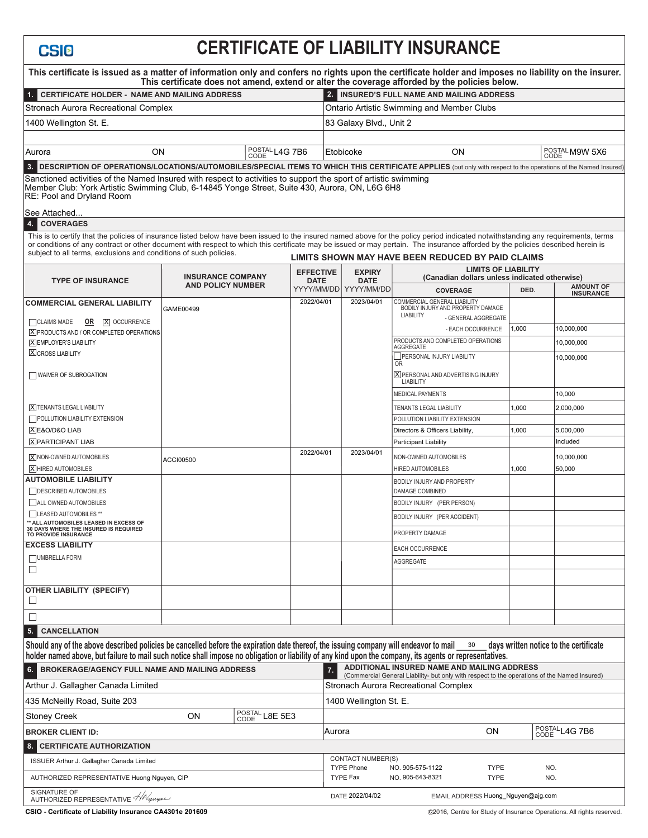## **CERTIFICATE OF LIABILITY INSURANCE**

| This certificate is issued as a matter of information only and confers no rights upon the certificate holder and imposes no liability on the insurer.                                                                                                                                                                                             |                          |                |                                 |                                                                                                                   | This certificate does not amend, extend or alter the coverage afforded by the policies below. |       |                                      |  |
|---------------------------------------------------------------------------------------------------------------------------------------------------------------------------------------------------------------------------------------------------------------------------------------------------------------------------------------------------|--------------------------|----------------|---------------------------------|-------------------------------------------------------------------------------------------------------------------|-----------------------------------------------------------------------------------------------|-------|--------------------------------------|--|
| 1. CERTIFICATE HOLDER - NAME AND MAILING ADDRESS                                                                                                                                                                                                                                                                                                  |                          |                |                                 | 2. INSURED'S FULL NAME AND MAILING ADDRESS                                                                        |                                                                                               |       |                                      |  |
| Stronach Aurora Recreational Complex                                                                                                                                                                                                                                                                                                              |                          |                |                                 | Ontario Artistic Swimming and Member Clubs                                                                        |                                                                                               |       |                                      |  |
| 1400 Wellington St. E.                                                                                                                                                                                                                                                                                                                            |                          |                |                                 | 83 Galaxy Blvd., Unit 2                                                                                           |                                                                                               |       |                                      |  |
|                                                                                                                                                                                                                                                                                                                                                   |                          |                |                                 |                                                                                                                   |                                                                                               |       |                                      |  |
| <b>ON</b><br>Aurora<br>CODE                                                                                                                                                                                                                                                                                                                       |                          | POSTAL L4G 7B6 |                                 | Etobicoke                                                                                                         | ON                                                                                            |       | POSTAL M9W 5X6<br>CODE               |  |
| 3. DESCRIPTION OF OPERATIONS/LOCATIONS/AUTOMOBILES/SPECIAL ITEMS TO WHICH THIS CERTIFICATE APPLIES (but only with respect to the operations of the Named Insured)                                                                                                                                                                                 |                          |                |                                 |                                                                                                                   |                                                                                               |       |                                      |  |
| Sanctioned activities of the Named Insured with respect to activities to support the sport of artistic swimming<br>Member Club: York Artistic Swimming Club, 6-14845 Yonge Street, Suite 430, Aurora, ON, L6G 6H8<br>RE: Pool and Dryland Room                                                                                                    |                          |                |                                 |                                                                                                                   |                                                                                               |       |                                      |  |
| See Attached                                                                                                                                                                                                                                                                                                                                      |                          |                |                                 |                                                                                                                   |                                                                                               |       |                                      |  |
| <b>COVERAGES</b><br>4<br>This is to certify that the policies of insurance listed below have been issued to the insured named above for the policy period indicated notwithstanding any requirements, terms                                                                                                                                       |                          |                |                                 |                                                                                                                   |                                                                                               |       |                                      |  |
| or conditions of any contract or other document with respect to which this certificate may be issued or may pertain. The insurance afforded by the policies described herein is                                                                                                                                                                   |                          |                |                                 |                                                                                                                   |                                                                                               |       |                                      |  |
| subject to all terms, exclusions and conditions of such policies.                                                                                                                                                                                                                                                                                 |                          |                |                                 | LIMITS SHOWN MAY HAVE BEEN REDUCED BY PAID CLAIMS                                                                 |                                                                                               |       |                                      |  |
| <b>TYPE OF INSURANCE</b>                                                                                                                                                                                                                                                                                                                          | <b>INSURANCE COMPANY</b> |                | <b>EFFECTIVE</b><br><b>DATE</b> | <b>EXPIRY</b><br><b>DATE</b>                                                                                      | <b>LIMITS OF LIABILITY</b><br>(Canadian dollars unless indicated otherwise)                   |       |                                      |  |
|                                                                                                                                                                                                                                                                                                                                                   | <b>AND POLICY NUMBER</b> |                |                                 | YYYY/MM/DD YYYY/MM/DD                                                                                             | <b>COVERAGE</b>                                                                               | DED.  | <b>AMOUNT OF</b><br><b>INSURANCE</b> |  |
| <b>COMMERCIAL GENERAL LIABILITY</b>                                                                                                                                                                                                                                                                                                               | GAME00499                |                | 2022/04/01                      | 2023/04/01                                                                                                        | COMMERCIAL GENERAL LIABILITY<br>BODILY INJURY AND PROPERTY DAMAGE                             |       |                                      |  |
| CLAIMS MADE<br><b>OR X</b> OCCURRENCE                                                                                                                                                                                                                                                                                                             |                          |                |                                 |                                                                                                                   | <b>LIABILITY</b><br>- GENERAL AGGREGATE                                                       |       |                                      |  |
| <b>X</b> PRODUCTS AND / OR COMPLETED OPERATIONS                                                                                                                                                                                                                                                                                                   |                          |                |                                 |                                                                                                                   | - EACH OCCURRENCE                                                                             | 1,000 | 10,000,000                           |  |
| <b>X EMPLOYER'S LIABILITY</b><br><b>X CROSS LIABILITY</b>                                                                                                                                                                                                                                                                                         |                          |                |                                 |                                                                                                                   | PRODUCTS AND COMPLETED OPERATIONS<br><b>AGGREGATE</b>                                         |       | 10,000,000                           |  |
|                                                                                                                                                                                                                                                                                                                                                   |                          |                |                                 |                                                                                                                   | PERSONAL INJURY LIABILITY<br><b>OR</b>                                                        |       | 10,000,000                           |  |
| WAIVER OF SUBROGATION                                                                                                                                                                                                                                                                                                                             |                          |                |                                 |                                                                                                                   | X PERSONAL AND ADVERTISING INJURY<br><b>LIABILITY</b>                                         |       |                                      |  |
|                                                                                                                                                                                                                                                                                                                                                   |                          |                |                                 |                                                                                                                   | <b>MEDICAL PAYMENTS</b>                                                                       |       | 10,000                               |  |
| <b>X TENANTS LEGAL LIABILITY</b>                                                                                                                                                                                                                                                                                                                  |                          |                |                                 |                                                                                                                   | TENANTS LEGAL LIABILITY                                                                       | 1,000 | 2,000,000                            |  |
| POLLUTION LIABILITY EXTENSION                                                                                                                                                                                                                                                                                                                     |                          |                |                                 |                                                                                                                   | POLLUTION LIABILITY EXTENSION                                                                 |       |                                      |  |
| XE&O/D&O LIAB                                                                                                                                                                                                                                                                                                                                     |                          |                |                                 |                                                                                                                   | Directors & Officers Liability,                                                               | 1,000 | 5,000,000                            |  |
| <b>X</b> PARTICIPANT LIAB                                                                                                                                                                                                                                                                                                                         |                          |                | 2022/04/01                      | 2023/04/01                                                                                                        | Participant Liability                                                                         |       | Included                             |  |
| X NON-OWNED AUTOMOBILES<br>X HIRED AUTOMOBILES                                                                                                                                                                                                                                                                                                    | ACCI00500                |                |                                 |                                                                                                                   | NON-OWNED AUTOMOBILES<br><b>HIRED AUTOMOBILES</b>                                             | 1,000 | 10,000,000<br>50,000                 |  |
| <b>AUTOMOBILE LIABILITY</b>                                                                                                                                                                                                                                                                                                                       |                          |                |                                 |                                                                                                                   | BODILY INJURY AND PROPERTY                                                                    |       |                                      |  |
| DESCRIBED AUTOMOBILES                                                                                                                                                                                                                                                                                                                             |                          |                |                                 |                                                                                                                   | DAMAGE COMBINED                                                                               |       |                                      |  |
| ALL OWNED AUTOMOBILES                                                                                                                                                                                                                                                                                                                             |                          |                |                                 |                                                                                                                   | BODILY INJURY (PER PERSON)                                                                    |       |                                      |  |
| LEASED AUTOMOBILES **<br>** ALL AUTOMOBILES LEASED IN EXCESS OF                                                                                                                                                                                                                                                                                   |                          |                |                                 |                                                                                                                   | BODILY INJURY (PER ACCIDENT)                                                                  |       |                                      |  |
| 30 DAYS WHERE THE INSURED IS REQUIRED<br><b>TO PROVIDE INSURANCE</b>                                                                                                                                                                                                                                                                              |                          |                |                                 |                                                                                                                   | PROPERTY DAMAGE                                                                               |       |                                      |  |
| <b>EXCESS LIABILITY</b>                                                                                                                                                                                                                                                                                                                           |                          |                |                                 |                                                                                                                   | <b>EACH OCCURRENCE</b>                                                                        |       |                                      |  |
| UMBRELLA FORM<br>$\Box$                                                                                                                                                                                                                                                                                                                           |                          |                |                                 |                                                                                                                   | AGGREGATE                                                                                     |       |                                      |  |
|                                                                                                                                                                                                                                                                                                                                                   |                          |                |                                 |                                                                                                                   |                                                                                               |       |                                      |  |
| OTHER LIABILITY (SPECIFY)<br>⊔                                                                                                                                                                                                                                                                                                                    |                          |                |                                 |                                                                                                                   |                                                                                               |       |                                      |  |
| □                                                                                                                                                                                                                                                                                                                                                 |                          |                |                                 |                                                                                                                   |                                                                                               |       |                                      |  |
| <b>5. CANCELLATION</b>                                                                                                                                                                                                                                                                                                                            |                          |                |                                 |                                                                                                                   |                                                                                               |       |                                      |  |
| Should any of the above described policies be cancelled before the expiration date thereof, the issuing company will endeavor to mail<br>days written notice to the certificate<br>30<br>holder named above, but failure to mail such notice shall impose no obligation or liability of any kind upon the company, its agents or representatives. |                          |                |                                 |                                                                                                                   |                                                                                               |       |                                      |  |
| ADDITIONAL INSURED NAME AND MAILING ADDRESS<br>BROKERAGE/AGENCY FULL NAME AND MAILING ADDRESS<br>6.<br>7.<br>(Commercial General Liability- but only with respect to the operations of the Named Insured)                                                                                                                                         |                          |                |                                 |                                                                                                                   |                                                                                               |       |                                      |  |
| Arthur J. Gallagher Canada Limited                                                                                                                                                                                                                                                                                                                |                          |                |                                 | Stronach Aurora Recreational Complex                                                                              |                                                                                               |       |                                      |  |
| 435 McNeilly Road, Suite 203                                                                                                                                                                                                                                                                                                                      |                          |                |                                 | 1400 Wellington St. E.                                                                                            |                                                                                               |       |                                      |  |
| POSTAL L8E 5E3<br>ON<br><b>Stoney Creek</b>                                                                                                                                                                                                                                                                                                       |                          |                |                                 |                                                                                                                   |                                                                                               |       |                                      |  |
| <b>BROKER CLIENT ID:</b>                                                                                                                                                                                                                                                                                                                          |                          |                |                                 | POSTALL4G 7B6<br>ON<br>Aurora                                                                                     |                                                                                               |       |                                      |  |
| <b>CERTIFICATE AUTHORIZATION</b><br>8.                                                                                                                                                                                                                                                                                                            |                          |                |                                 |                                                                                                                   |                                                                                               |       |                                      |  |
| ISSUER Arthur J. Gallagher Canada Limited                                                                                                                                                                                                                                                                                                         | <b>CONTACT NUMBER(S)</b> |                |                                 |                                                                                                                   |                                                                                               |       |                                      |  |
| AUTHORIZED REPRESENTATIVE Huong Nguyen, CIP                                                                                                                                                                                                                                                                                                       |                          |                |                                 | <b>TYPE Phone</b><br>NO. 905-575-1122<br>NO.<br><b>TYPE</b><br>TYPE Fax<br>NO. 905-643-8321<br><b>TYPE</b><br>NO. |                                                                                               |       |                                      |  |
| SIGNATURE OF<br>AUTHORIZED REPRESENTATIVE $\frac{\sqrt{N}}{2}$ guyen                                                                                                                                                                                                                                                                              |                          |                |                                 |                                                                                                                   | DATE 2022/04/02<br>EMAIL ADDRESS Huong_Nguyen@ajg.com                                         |       |                                      |  |

**CSI<sub>O</sub>**